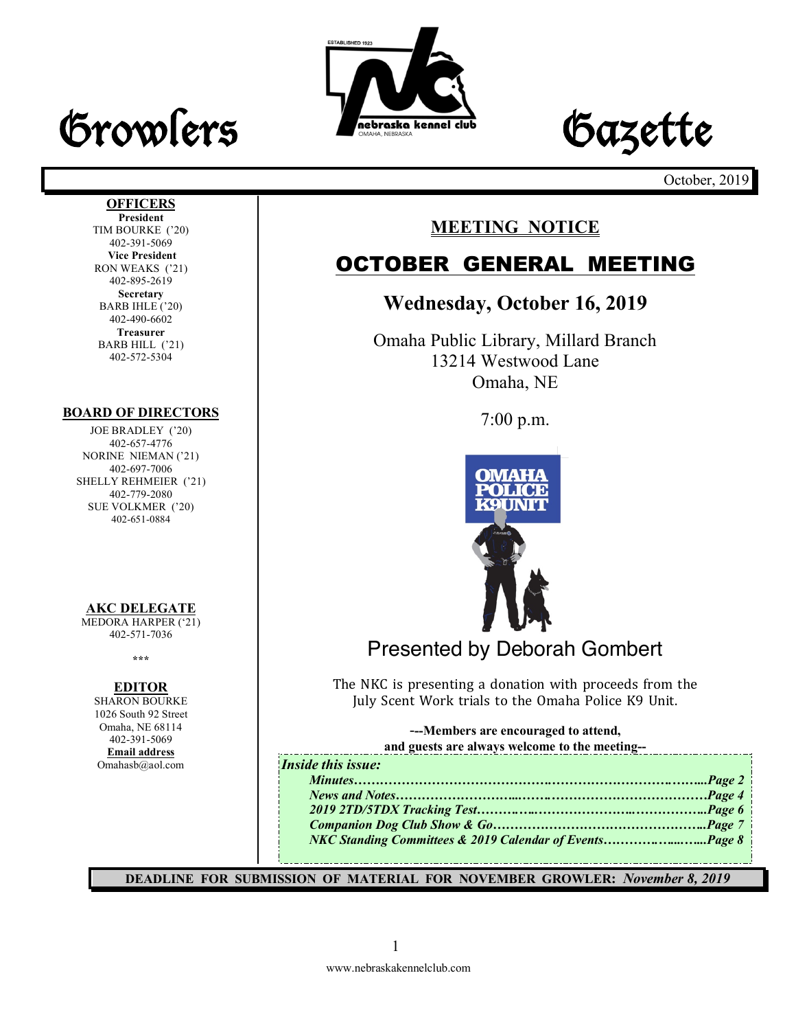





October, 2019

#### **OFFICERS President**

TIM BOURKE ('20) 402-391-5069 **Vice President** RON WEAKS ('21) 402-895-2619 **Secretary** BARB IHLE ('20) 402-490-6602 **Treasurer** BARB HILL ('21) 402-572-5304

#### **BOARD OF DIRECTORS**

JOE BRADLEY ('20) 402-657-4776 NORINE NIEMAN ('21) 402-697-7006 SHELLY REHMEIER ('21) 402-779-2080 SUE VOLKMER ('20) 402-651-0884

#### **AKC DELEGATE**

MEDORA HARPER ('21) 402-571-7036

**\*\*\***

#### **EDITOR**

SHARON BOURKE 1026 South 92 Street Omaha, NE 68114 402-391-5069 **Email address** Omahasb@aol.com

## **MEETING NOTICE**

## OCTOBER GENERAL MEETING

## **Wednesday, October 16, 2019**

Omaha Public Library, Millard Branch 13214 Westwood Lane Omaha, NE

7:00 p.m.



## Presented by Deborah Gombert

The NKC is presenting a donation with proceeds from the July Scent Work trials to the Omaha Police K9 Unit.

-**--Members are encouraged to attend,** 

|  | and guests are always welcome to the meeting-- |
|--|------------------------------------------------|
|  |                                                |

| <b>Inside this issue:</b> |  |
|---------------------------|--|
| I.                        |  |
|                           |  |
| $\frac{1}{2}$             |  |
|                           |  |
|                           |  |
|                           |  |

**DEADLINE FOR SUBMISSION OF MATERIAL FOR NOVEMBER GROWLER:** *November 8, 2019*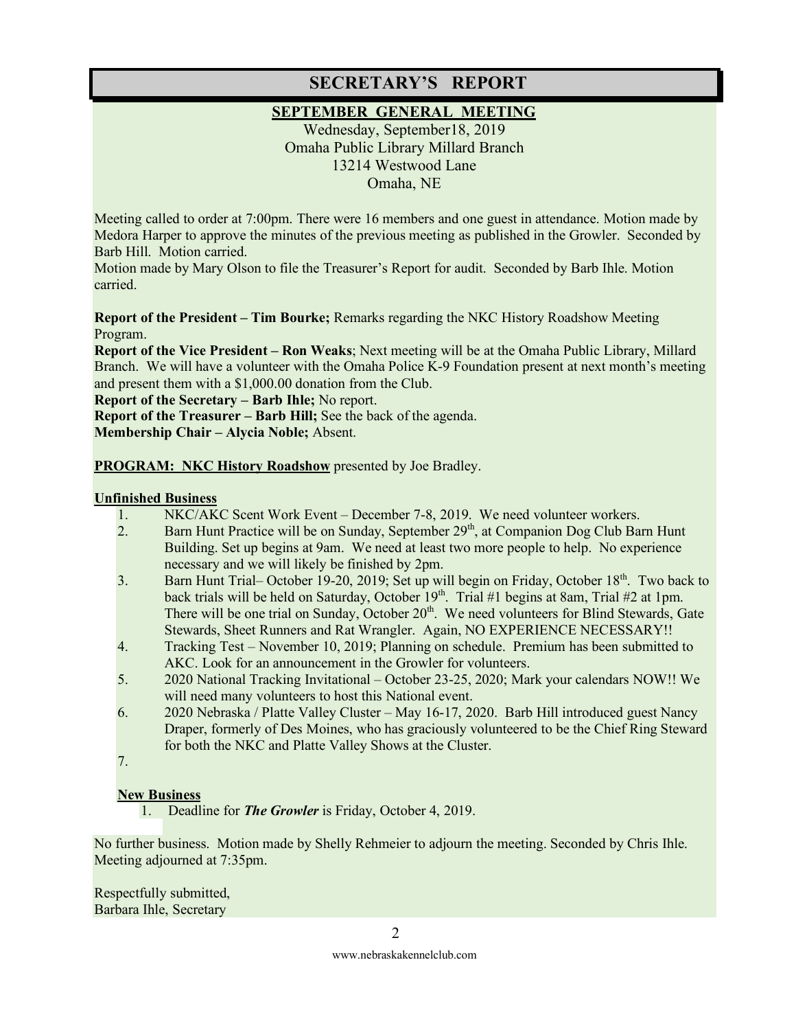## **SECRETARY'S REPORT**

#### **SEPTEMBER GENERAL MEETING**

Wednesday, September18, 2019 Omaha Public Library Millard Branch 13214 Westwood Lane Omaha, NE

Meeting called to order at 7:00pm. There were 16 members and one guest in attendance. Motion made by Medora Harper to approve the minutes of the previous meeting as published in the Growler. Seconded by Barb Hill. Motion carried.

Motion made by Mary Olson to file the Treasurer's Report for audit. Seconded by Barb Ihle. Motion carried.

**Report of the President – Tim Bourke;** Remarks regarding the NKC History Roadshow Meeting Program.

**Report of the Vice President – Ron Weaks**; Next meeting will be at the Omaha Public Library, Millard Branch. We will have a volunteer with the Omaha Police K-9 Foundation present at next month's meeting and present them with a \$1,000.00 donation from the Club.

**Report of the Secretary – Barb Ihle;** No report.

**Report of the Treasurer – Barb Hill;** See the back of the agenda. **Membership Chair – Alycia Noble;** Absent.

**PROGRAM: NKC History Roadshow** presented by Joe Bradley.

#### **Unfinished Business**

- 1. NKC/AKC Scent Work Event December 7-8, 2019. We need volunteer workers.
- 2. Barn Hunt Practice will be on Sunday, September 29<sup>th</sup>, at Companion Dog Club Barn Hunt Building. Set up begins at 9am. We need at least two more people to help. No experience necessary and we will likely be finished by 2pm.
- 3. Barn Hunt Trial– October 19-20, 2019; Set up will begin on Friday, October 18<sup>th</sup>. Two back to back trials will be held on Saturday, October  $19<sup>th</sup>$ . Trial #1 begins at 8am, Trial #2 at 1pm. There will be one trial on Sunday, October 20<sup>th</sup>. We need volunteers for Blind Stewards, Gate Stewards, Sheet Runners and Rat Wrangler. Again, NO EXPERIENCE NECESSARY!!
- 4. Tracking Test November 10, 2019; Planning on schedule. Premium has been submitted to AKC. Look for an announcement in the Growler for volunteers.
- 5. 2020 National Tracking Invitational October 23-25, 2020; Mark your calendars NOW!! We will need many volunteers to host this National event.
- 6. 2020 Nebraska / Platte Valley Cluster May 16-17, 2020. Barb Hill introduced guest Nancy Draper, formerly of Des Moines, who has graciously volunteered to be the Chief Ring Steward for both the NKC and Platte Valley Shows at the Cluster.
- 7.

#### **New Business**

1. Deadline for *The Growler* is Friday, October 4, 2019.

No further business. Motion made by Shelly Rehmeier to adjourn the meeting. Seconded by Chris Ihle. Meeting adjourned at 7:35pm.

Respectfully submitted, Barbara Ihle, Secretary

www.nebraskakennelclub.com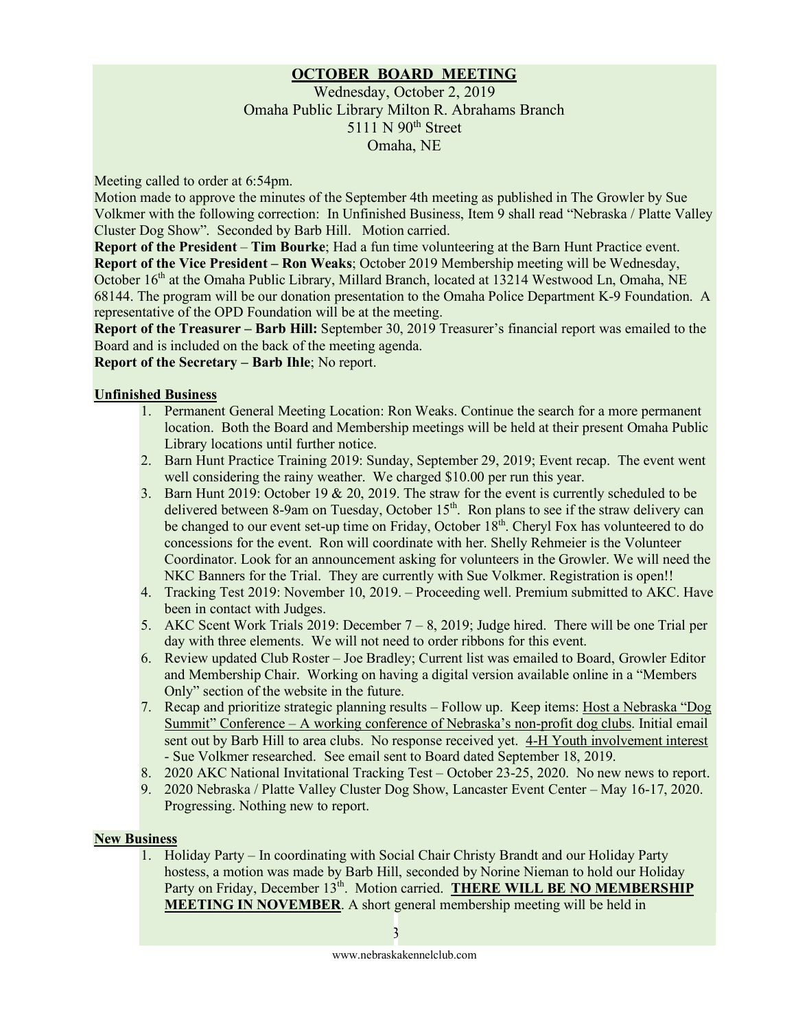#### **OCTOBER BOARD MEETING**

#### Wednesday, October 2, 2019 Omaha Public Library Milton R. Abrahams Branch 5111 N 90<sup>th</sup> Street Omaha, NE

Meeting called to order at 6:54pm.

Motion made to approve the minutes of the September 4th meeting as published in The Growler by Sue Volkmer with the following correction: In Unfinished Business, Item 9 shall read "Nebraska / Platte Valley Cluster Dog Show". Seconded by Barb Hill. Motion carried.

**Report of the President** – **Tim Bourke**; Had a fun time volunteering at the Barn Hunt Practice event. **Report of the Vice President – Ron Weaks**; October 2019 Membership meeting will be Wednesday, October 16<sup>th</sup> at the Omaha Public Library, Millard Branch, located at 13214 Westwood Ln, Omaha, NE 68144. The program will be our donation presentation to the Omaha Police Department K-9 Foundation. A representative of the OPD Foundation will be at the meeting.

**Report of the Treasurer – Barb Hill:** September 30, 2019 Treasurer's financial report was emailed to the Board and is included on the back of the meeting agenda.

**Report of the Secretary – Barb Ihle**; No report.

#### **Unfinished Business**

- 1. Permanent General Meeting Location: Ron Weaks. Continue the search for a more permanent location. Both the Board and Membership meetings will be held at their present Omaha Public Library locations until further notice.
- 2. Barn Hunt Practice Training 2019: Sunday, September 29, 2019; Event recap. The event went well considering the rainy weather. We charged \$10.00 per run this year.
- 3. Barn Hunt 2019: October 19 & 20, 2019. The straw for the event is currently scheduled to be delivered between 8-9am on Tuesday, October 15<sup>th</sup>. Ron plans to see if the straw delivery can be changed to our event set-up time on Friday, October 18<sup>th</sup>. Cheryl Fox has volunteered to do concessions for the event. Ron will coordinate with her. Shelly Rehmeier is the Volunteer Coordinator. Look for an announcement asking for volunteers in the Growler. We will need the NKC Banners for the Trial. They are currently with Sue Volkmer. Registration is open!!
- 4. Tracking Test 2019: November 10, 2019. Proceeding well. Premium submitted to AKC. Have been in contact with Judges.
- 5. AKC Scent Work Trials 2019: December 7 8, 2019; Judge hired. There will be one Trial per day with three elements. We will not need to order ribbons for this event.
- 6. Review updated Club Roster Joe Bradley; Current list was emailed to Board, Growler Editor and Membership Chair. Working on having a digital version available online in a "Members Only" section of the website in the future.
- 7. Recap and prioritize strategic planning results Follow up. Keep items: Host a Nebraska "Dog Summit" Conference – A working conference of Nebraska's non-profit dog clubs. Initial email sent out by Barb Hill to area clubs. No response received yet. 4-H Youth involvement interest - Sue Volkmer researched. See email sent to Board dated September 18, 2019.
- 8. 2020 AKC National Invitational Tracking Test October 23-25, 2020. No new news to report.
- 9. 2020 Nebraska / Platte Valley Cluster Dog Show, Lancaster Event Center May 16-17, 2020. Progressing. Nothing new to report.

#### **New Business**

1. Holiday Party – In coordinating with Social Chair Christy Brandt and our Holiday Party hostess, a motion was made by Barb Hill, seconded by Norine Nieman to hold our Holiday Party on Friday, December 13<sup>th</sup>. Motion carried. **THERE WILL BE NO MEMBERSHIP MEETING IN NOVEMBER**. A short general membership meeting will be held in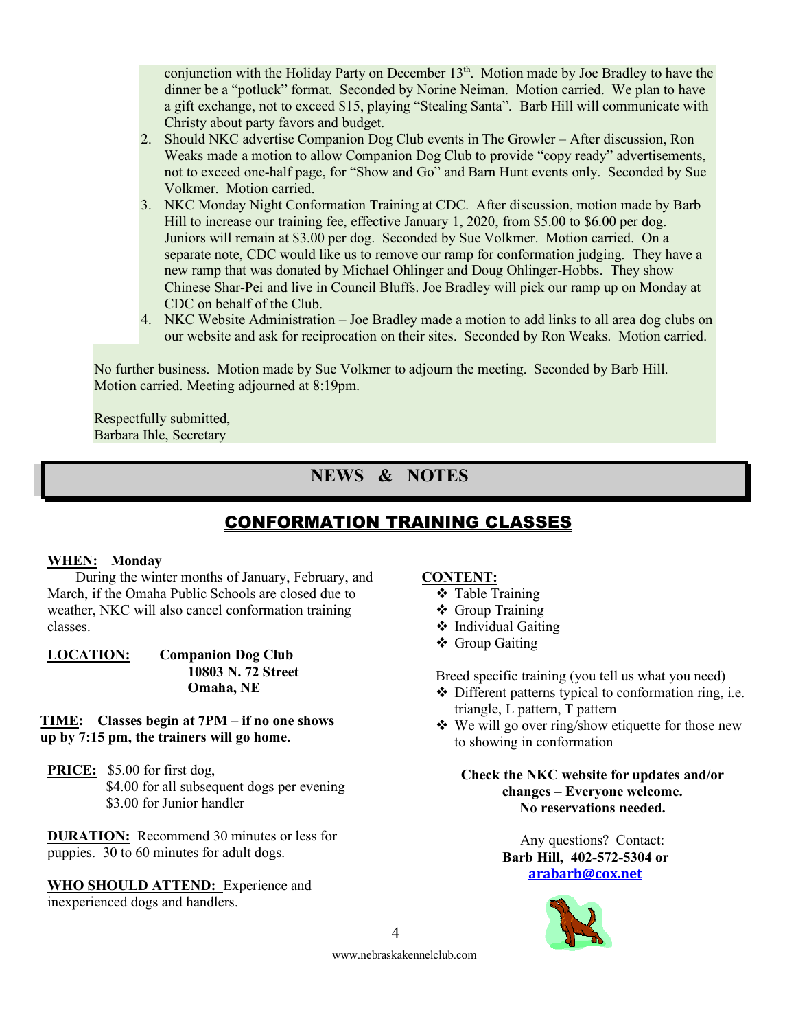conjunction with the Holiday Party on December  $13<sup>th</sup>$ . Motion made by Joe Bradley to have the dinner be a "potluck" format. Seconded by Norine Neiman. Motion carried. We plan to have a gift exchange, not to exceed \$15, playing "Stealing Santa". Barb Hill will communicate with Christy about party favors and budget.

- 2. Should NKC advertise Companion Dog Club events in The Growler After discussion, Ron Weaks made a motion to allow Companion Dog Club to provide "copy ready" advertisements, not to exceed one-half page, for "Show and Go" and Barn Hunt events only. Seconded by Sue Volkmer. Motion carried.
- 3. NKC Monday Night Conformation Training at CDC. After discussion, motion made by Barb Hill to increase our training fee, effective January 1, 2020, from \$5.00 to \$6.00 per dog. Juniors will remain at \$3.00 per dog. Seconded by Sue Volkmer. Motion carried. On a separate note, CDC would like us to remove our ramp for conformation judging. They have a new ramp that was donated by Michael Ohlinger and Doug Ohlinger-Hobbs. They show Chinese Shar-Pei and live in Council Bluffs. Joe Bradley will pick our ramp up on Monday at CDC on behalf of the Club.
- 4. NKC Website Administration Joe Bradley made a motion to add links to all area dog clubs on our website and ask for reciprocation on their sites. Seconded by Ron Weaks. Motion carried.

No further business. Motion made by Sue Volkmer to adjourn the meeting. Seconded by Barb Hill. Motion carried. Meeting adjourned at 8:19pm.

Respectfully submitted, Barbara Ihle, Secretary

## **NEWS & NOTES**

## CONFORMATION TRAINING CLASSES

#### **WHEN: Monday**

During the winter months of January, February, and March, if the Omaha Public Schools are closed due to weather, NKC will also cancel conformation training classes.

**LOCATION: Companion Dog Club 10803 N. 72 Street Omaha, NE**

#### **TIME: Classes begin at 7PM – if no one shows up by 7:15 pm, the trainers will go home.**

**PRICE:** \$5.00 for first dog, \$4.00 for all subsequent dogs per evening \$3.00 for Junior handler

**DURATION:** Recommend 30 minutes or less for puppies. 30 to 60 minutes for adult dogs.

**WHO SHOULD ATTEND:** Experience and inexperienced dogs and handlers.

#### **CONTENT:**

- **❖** Table Training
- ❖ Group Training
- $\triangleleft$  Individual Gaiting
- ❖ Group Gaiting

Breed specific training (you tell us what you need)

- $\triangle$  Different patterns typical to conformation ring, i.e. triangle, L pattern, T pattern
- $\bullet$  We will go over ring/show etiquette for those new to showing in conformation

**Check the NKC website for updates and/or changes – Everyone welcome. No reservations needed.**

> Any questions? Contact: **Barb Hill, 402-572-5304 or arabarb@cox.net**



4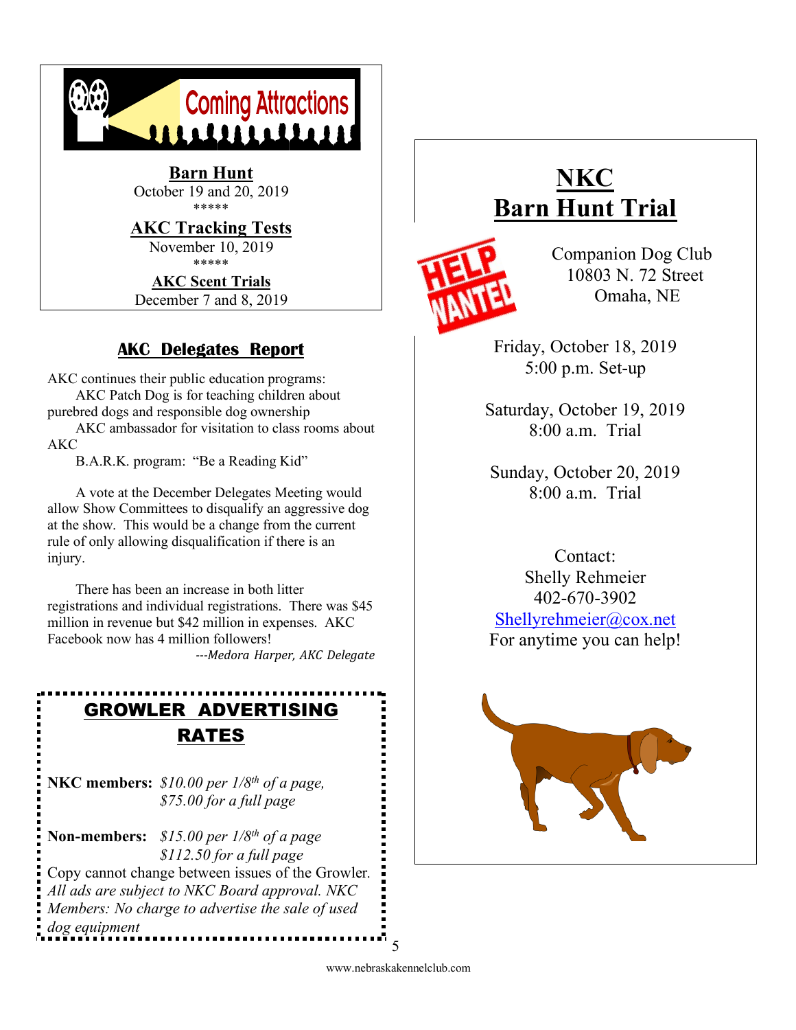

December 7 and 8, 2019

## **AKC Delegates Report**

AKC continues their public education programs:

AKC Patch Dog is for teaching children about purebred dogs and responsible dog ownership AKC ambassador for visitation to class rooms about AKC

B.A.R.K. program: "Be a Reading Kid"

A vote at the December Delegates Meeting would allow Show Committees to disqualify an aggressive dog at the show. This would be a change from the current rule of only allowing disqualification if there is an injury.

There has been an increase in both litter registrations and individual registrations. There was \$45 million in revenue but \$42 million in expenses. AKC Facebook now has 4 million followers! *---Medora Harper, AKC Delegate*

# GROWLER ADVERTISING RATES

**NKC members:** *\$10.00 per 1/8th of a page, \$75.00 for a full page* 

**Non-members:** *\$15.00 per 1/8th of a page \$112.50 for a full page* Copy cannot change between issues of the Growler*. All ads are subject to NKC Board approval. NKC Members: No charge to advertise the sale of used dog equipment* . . . . . . . . . . . . . . . . . . . .

# **NKC Barn Hunt Trial**



Companion Dog Club 10803 N. 72 Street Omaha, NE

Friday, October 18, 2019 5:00 p.m. Set-up

Saturday, October 19, 2019 8:00 a.m. Trial

Sunday, October 20, 2019 8:00 a.m. Trial

Contact: Shelly Rehmeier 402-670-3902 Shellyrehmeier@cox.net For anytime you can help!



www.nebraskakennelclub.com 5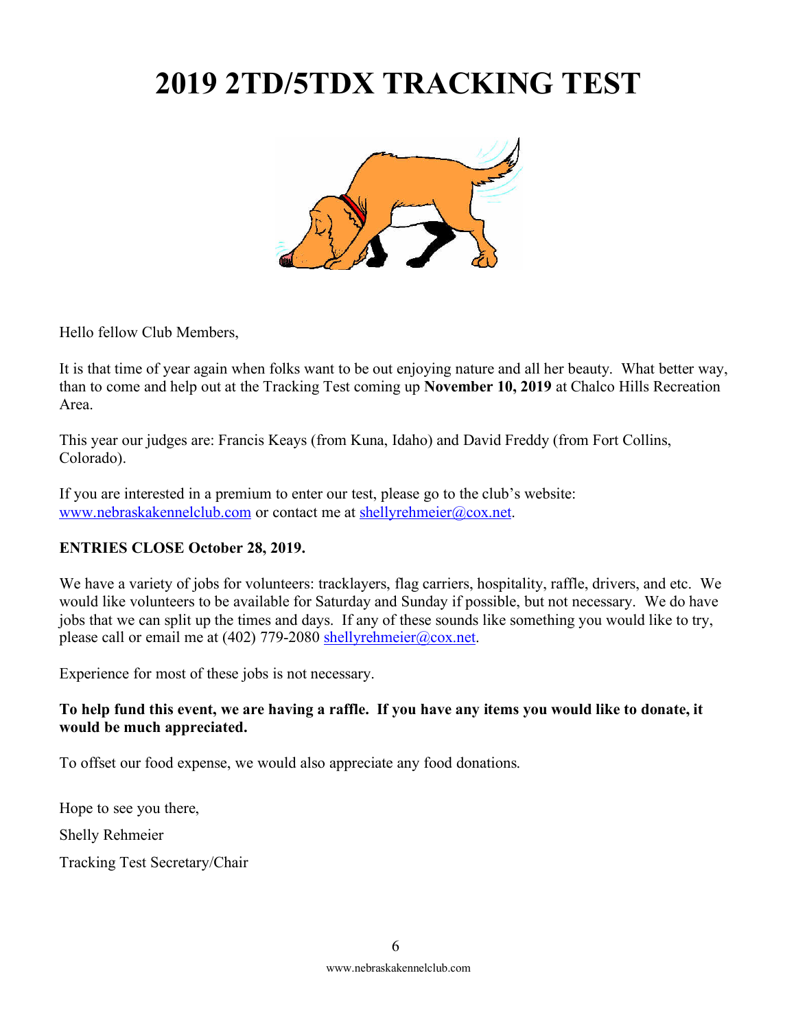# **2019 2TD/5TDX TRACKING TEST**



Hello fellow Club Members,

It is that time of year again when folks want to be out enjoying nature and all her beauty. What better way, than to come and help out at the Tracking Test coming up **November 10, 2019** at Chalco Hills Recreation Area.

This year our judges are: Francis Keays (from Kuna, Idaho) and David Freddy (from Fort Collins, Colorado).

If you are interested in a premium to enter our test, please go to the club's website: www.nebraskakennelclub.com or contact me at shellyrehmeier@cox.net.

#### **ENTRIES CLOSE October 28, 2019.**

We have a variety of jobs for volunteers: tracklayers, flag carriers, hospitality, raffle, drivers, and etc. We would like volunteers to be available for Saturday and Sunday if possible, but not necessary. We do have jobs that we can split up the times and days. If any of these sounds like something you would like to try, please call or email me at (402) 779-2080 shellyrehmeier@cox.net.

Experience for most of these jobs is not necessary.

#### **To help fund this event, we are having a raffle. If you have any items you would like to donate, it would be much appreciated.**

To offset our food expense, we would also appreciate any food donations.

Hope to see you there, Shelly Rehmeier Tracking Test Secretary/Chair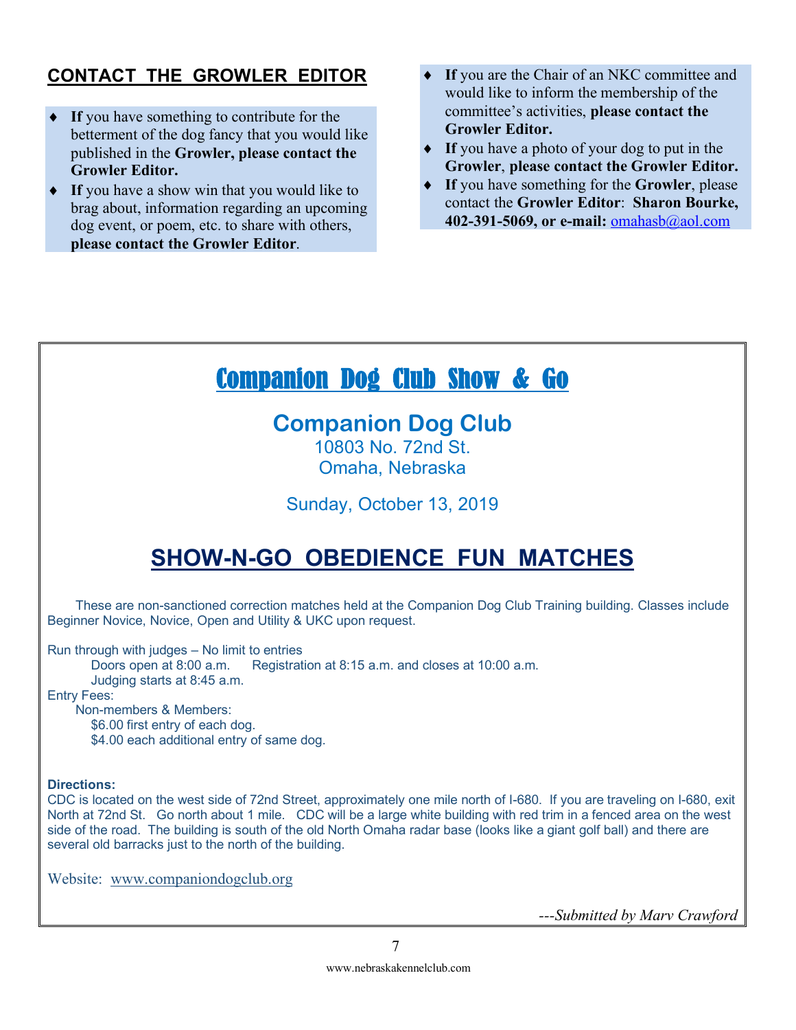## **CONTACT THE GROWLER EDITOR**

- If you have something to contribute for the betterment of the dog fancy that you would like published in the **Growler, please contact the Growler Editor.**
- If you have a show win that you would like to brag about, information regarding an upcoming dog event, or poem, etc. to share with others, **please contact the Growler Editor**.
- If you are the Chair of an NKC committee and would like to inform the membership of the committee's activities, **please contact the Growler Editor.**
- If you have a photo of your dog to put in the **Growler**, **please contact the Growler Editor.**
- ◆ If you have something for the **Growler**, please contact the **Growler Editor**: **Sharon Bourke, 402-391-5069, or e-mail:** omahasb@aol.com

# Companion Dog Club Show & Go

# **Companion Dog Club**

10803 No. 72nd St. Omaha, Nebraska

Sunday, October 13, 2019

# **SHOW-N-GO OBEDIENCE FUN MATCHES**

These are non-sanctioned correction matches held at the Companion Dog Club Training building. Classes include Beginner Novice, Novice, Open and Utility & UKC upon request.

Run through with judges – No limit to entries

Doors open at 8:00 a.m. Registration at 8:15 a.m. and closes at 10:00 a.m. Judging starts at 8:45 a.m.

Entry Fees:

Non-members & Members:

\$6.00 first entry of each dog.

\$4.00 each additional entry of same dog.

#### **Directions:**

CDC is located on the west side of 72nd Street, approximately one mile north of I-680. If you are traveling on I-680, exit North at 72nd St. Go north about 1 mile. CDC will be a large white building with red trim in a fenced area on the west side of the road. The building is south of the old North Omaha radar base (looks like a giant golf ball) and there are several old barracks just to the north of the building.

Website: www.companiondogclub.org

*---Submitted by Marv Crawford*